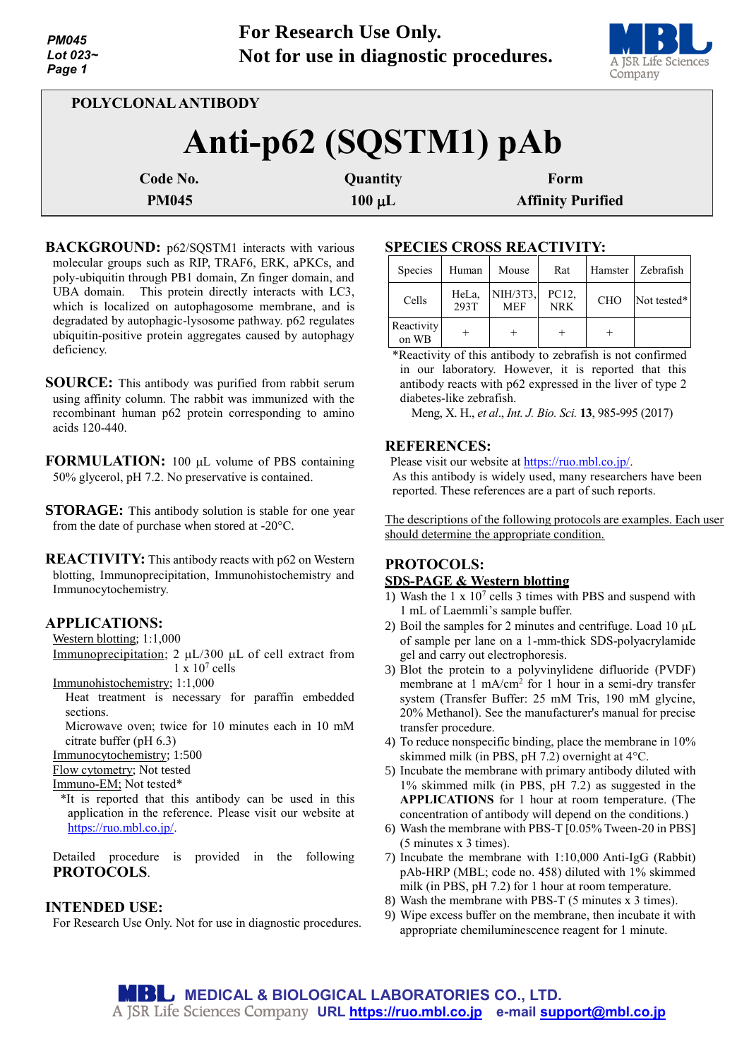

| POLYCLONAL ANTIBODY   |             |                          |  |  |  |
|-----------------------|-------------|--------------------------|--|--|--|
| Anti-p62 (SQSTM1) pAb |             |                          |  |  |  |
| Code No.              | Quantity    | Form                     |  |  |  |
| <b>PM045</b>          | $100 \mu L$ | <b>Affinity Purified</b> |  |  |  |

- **BACKGROUND:** p62/SQSTM1 interacts with various molecular groups such as RIP, TRAF6, ERK, aPKCs, and poly-ubiquitin through PB1 domain, Zn finger domain, and UBA domain. This protein directly interacts with LC3, which is localized on autophagosome membrane, and is degradated by autophagic-lysosome pathway. p62 regulates ubiquitin-positive protein aggregates caused by autophagy deficiency.
- **SOURCE:** This antibody was purified from rabbit serum using affinity column. The rabbit was immunized with the recombinant human p62 protein corresponding to amino acids 120-440.
- **FORMULATION:** 100 µL volume of PBS containing 50% glycerol, pH 7.2. No preservative is contained.
- **STORAGE:** This antibody solution is stable for one year from the date of purchase when stored at -20°C.
- **REACTIVITY:** This antibody reacts with p62 on Western blotting, Immunoprecipitation, Immunohistochemistry and Immunocytochemistry.

# **APPLICATIONS:**

Western blotting; 1:1,000

Immunoprecipitation;  $2 \mu L/300 \mu L$  of cell extract from  $1 \times 10^7$  cells

Immunohistochemistry; 1:1,000

- Heat treatment is necessary for paraffin embedded sections.
	- Microwave oven; twice for 10 minutes each in 10 mM citrate buffer (pH 6.3)

Immunocytochemistry; 1:500

Flow cytometry; Not tested

Immuno-EM; Not tested\*

\*It is reported that this antibody can be used in this application in the reference. Please visit our website at [https://ruo.mbl.co.jp/.](https://ruo.mbl.co.jp/)

Detailed procedure is provided in the following **PROTOCOLS**.

## **INTENDED USE:**

For Research Use Only. Not for use in diagnostic procedures.

# **SPECIES CROSS REACTIVITY:**

| Species             | Human         | Mouse                  | Rat                 |            | Hamster   Zebrafish |
|---------------------|---------------|------------------------|---------------------|------------|---------------------|
| Cells               | HeLa,<br>293T | NIH/3T3,<br><b>MEF</b> | PC12,<br><b>NRK</b> | <b>CHO</b> | Not tested*         |
| Reactivity<br>on WB |               |                        |                     |            |                     |

\*Reactivity of this antibody to zebrafish is not confirmed in our laboratory. However, it is reported that this antibody reacts with p62 expressed in the liver of type 2 diabetes-like zebrafish.

Meng, X. H., *et al*., *Int. J. Bio. Sci.* **13**, 985-995 (2017)

## **REFERENCES:**

Please visit our website at [https://ruo.mbl.co.jp/.](https://ruo.mbl.co.jp/)

As this antibody is widely used, many researchers have been reported. These references are a part of such reports.

The descriptions of the following protocols are examples. Each user should determine the appropriate condition.

# **PROTOCOLS:**

## **SDS-PAGE & Western blotting**

- 1) Wash the 1 x 10<sup>7</sup> cells 3 times with PBS and suspend with 1 mL of Laemmli's sample buffer.
- 2) Boil the samples for 2 minutes and centrifuge. Load 10  $\mu$ L of sample per lane on a 1-mm-thick SDS-polyacrylamide gel and carry out electrophoresis.
- 3) Blot the protein to a polyvinylidene difluoride (PVDF) membrane at 1 mA/cm<sup>2</sup> for 1 hour in a semi-dry transfer system (Transfer Buffer: 25 mM Tris, 190 mM glycine, 20% Methanol). See the manufacturer's manual for precise transfer procedure.
- 4) To reduce nonspecific binding, place the membrane in 10% skimmed milk (in PBS, pH 7.2) overnight at 4°C.
- 5) Incubate the membrane with primary antibody diluted with 1% skimmed milk (in PBS, pH 7.2) as suggested in the **APPLICATIONS** for 1 hour at room temperature. (The concentration of antibody will depend on the conditions.)
- 6) Wash the membrane with PBS-T [0.05% Tween-20 in PBS] (5 minutes x 3 times).
- 7) Incubate the membrane with 1:10,000 Anti-IgG (Rabbit) pAb-HRP (MBL; code no. 458) diluted with 1% skimmed milk (in PBS, pH 7.2) for 1 hour at room temperature.
- 8) Wash the membrane with PBS-T (5 minutes x 3 times).
- 9) Wipe excess buffer on the membrane, then incubate it with appropriate chemiluminescence reagent for 1 minute.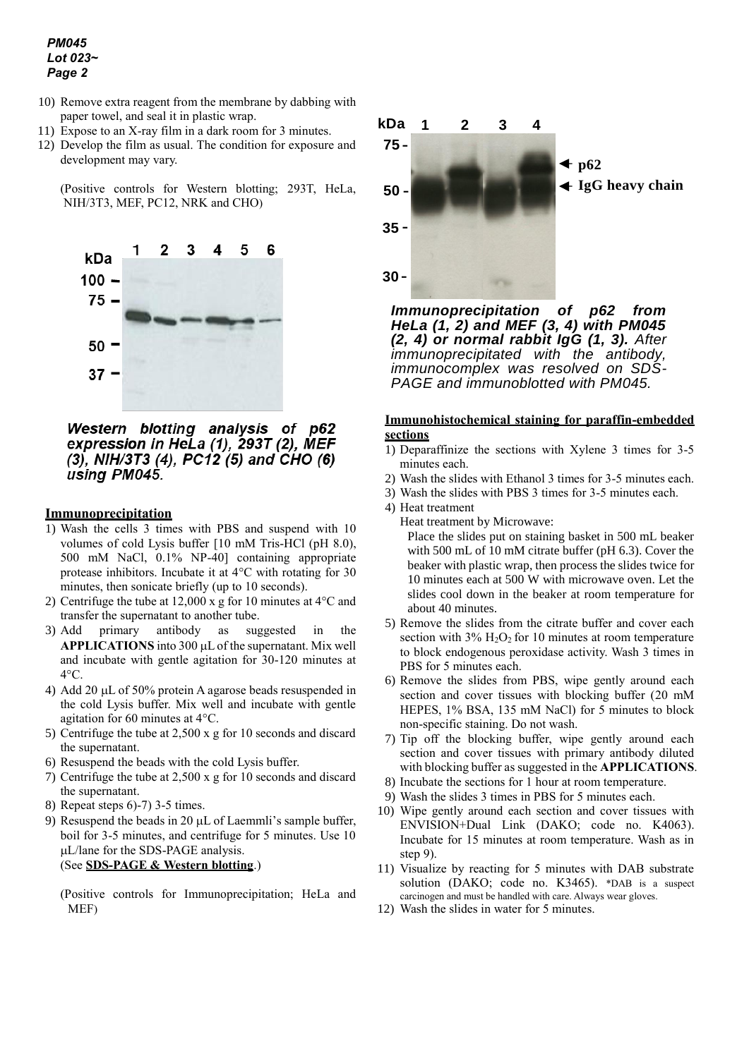*PM045 Lot 023~ Page 2*

- 10) Remove extra reagent from the membrane by dabbing with paper towel, and seal it in plastic wrap.
- 11) Expose to an X-ray film in a dark room for 3 minutes.
- 12) Develop the film as usual. The condition for exposure and development may vary.

(Positive controls for Western blotting; 293T, HeLa, NIH/3T3, MEF, PC12, NRK and CHO)



Western blotting analysis of p62 expression in HeLa (1), 293T (2), MEF (3), NIH/3T3 (4), PC12 (5) and CHO (6) using PM045.

#### **Immunoprecipitation**

- 1) Wash the cells 3 times with PBS and suspend with 10 volumes of cold Lysis buffer [10 mM Tris-HCl (pH 8.0), 500 mM NaCl, 0.1% NP-40] containing appropriate protease inhibitors. Incubate it at 4°C with rotating for 30 minutes, then sonicate briefly (up to 10 seconds).
- 2) Centrifuge the tube at 12,000 x g for 10 minutes at 4°C and transfer the supernatant to another tube.
- 3) Add primary antibody as suggested in the APPLICATIONS into 300 µL of the supernatant. Mix well and incubate with gentle agitation for 30-120 minutes at  $4^{\circ}$ C.
- 4) Add 20  $\mu$ L of 50% protein A agarose beads resuspended in the cold Lysis buffer. Mix well and incubate with gentle agitation for 60 minutes at 4°C.
- 5) Centrifuge the tube at 2,500 x g for 10 seconds and discard the supernatant.
- 6) Resuspend the beads with the cold Lysis buffer.
- 7) Centrifuge the tube at 2,500 x g for 10 seconds and discard the supernatant.
- 8) Repeat steps 6)-7) 3-5 times.
- 9) Resuspend the beads in 20  $\mu$ L of Laemmli's sample buffer, boil for 3-5 minutes, and centrifuge for 5 minutes. Use 10 L/lane for the SDS-PAGE analysis. (See **SDS-PAGE & Western blotting**.)

(Positive controls for Immunoprecipitation; HeLa and MEF)



*Immunoprecipitation of p62 from HeLa (1, 2) and MEF (3, 4) with PM045 (2, 4) or normal rabbit IgG (1, 3). After immunoprecipitated with the antibody, immunocomplex was resolved on SDS-PAGE and immunoblotted with PM045.* 

## **Immunohistochemical staining for paraffin-embedded sections**

- 1) Deparaffinize the sections with Xylene 3 times for 3-5 minutes each.
- 2) Wash the slides with Ethanol 3 times for 3-5 minutes each.
- 3) Wash the slides with PBS 3 times for 3-5 minutes each.
- 4) Heat treatment
	- Heat treatment by Microwave:

Place the slides put on staining basket in 500 mL beaker with 500 mL of 10 mM citrate buffer (pH 6.3). Cover the beaker with plastic wrap, then process the slides twice for 10 minutes each at 500 W with microwave oven. Let the slides cool down in the beaker at room temperature for about 40 minutes.

- 5) Remove the slides from the citrate buffer and cover each section with  $3\%$  H<sub>2</sub>O<sub>2</sub> for 10 minutes at room temperature to block endogenous peroxidase activity. Wash 3 times in PBS for 5 minutes each.
- 6) Remove the slides from PBS, wipe gently around each section and cover tissues with blocking buffer (20 mM HEPES, 1% BSA, 135 mM NaCl) for 5 minutes to block non-specific staining. Do not wash.
- 7) Tip off the blocking buffer, wipe gently around each section and cover tissues with primary antibody diluted with blocking buffer as suggested in the **APPLICATIONS**.
- 8) Incubate the sections for 1 hour at room temperature.
- 9) Wash the slides 3 times in PBS for 5 minutes each.
- 10) Wipe gently around each section and cover tissues with ENVISION+Dual Link (DAKO; code no. K4063). Incubate for 15 minutes at room temperature. Wash as in step 9).
- 11) Visualize by reacting for 5 minutes with DAB substrate solution (DAKO; code no. K3465). \*DAB is a suspect carcinogen and must be handled with care. Always wear gloves.
- 12) Wash the slides in water for 5 minutes.